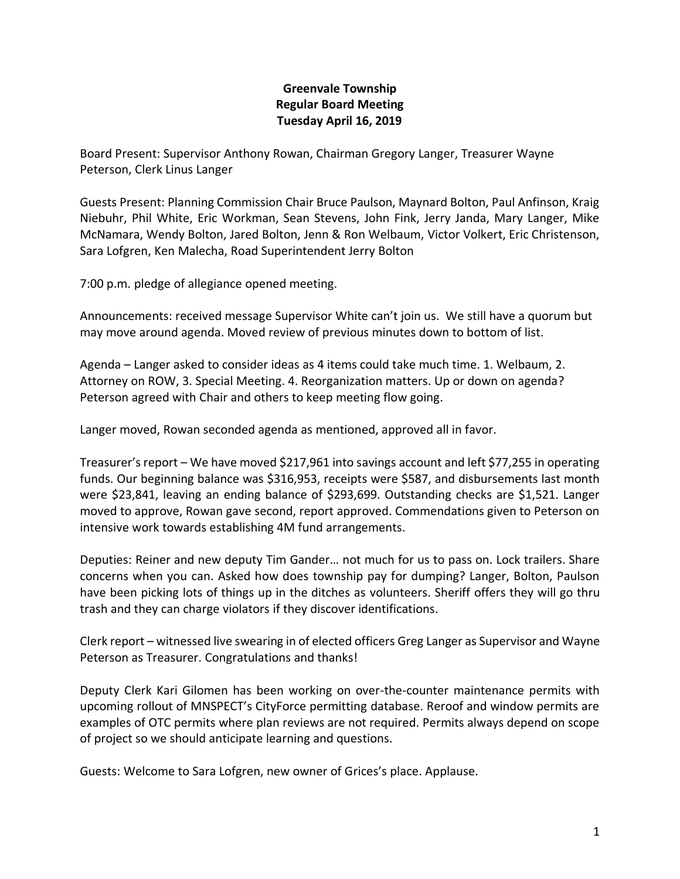## **Greenvale Township Regular Board Meeting Tuesday April 16, 2019**

Board Present: Supervisor Anthony Rowan, Chairman Gregory Langer, Treasurer Wayne Peterson, Clerk Linus Langer

Guests Present: Planning Commission Chair Bruce Paulson, Maynard Bolton, Paul Anfinson, Kraig Niebuhr, Phil White, Eric Workman, Sean Stevens, John Fink, Jerry Janda, Mary Langer, Mike McNamara, Wendy Bolton, Jared Bolton, Jenn & Ron Welbaum, Victor Volkert, Eric Christenson, Sara Lofgren, Ken Malecha, Road Superintendent Jerry Bolton

7:00 p.m. pledge of allegiance opened meeting.

Announcements: received message Supervisor White can't join us. We still have a quorum but may move around agenda. Moved review of previous minutes down to bottom of list.

Agenda – Langer asked to consider ideas as 4 items could take much time. 1. Welbaum, 2. Attorney on ROW, 3. Special Meeting. 4. Reorganization matters. Up or down on agenda? Peterson agreed with Chair and others to keep meeting flow going.

Langer moved, Rowan seconded agenda as mentioned, approved all in favor.

Treasurer's report – We have moved \$217,961 into savings account and left \$77,255 in operating funds. Our beginning balance was \$316,953, receipts were \$587, and disbursements last month were \$23,841, leaving an ending balance of \$293,699. Outstanding checks are \$1,521. Langer moved to approve, Rowan gave second, report approved. Commendations given to Peterson on intensive work towards establishing 4M fund arrangements.

Deputies: Reiner and new deputy Tim Gander… not much for us to pass on. Lock trailers. Share concerns when you can. Asked how does township pay for dumping? Langer, Bolton, Paulson have been picking lots of things up in the ditches as volunteers. Sheriff offers they will go thru trash and they can charge violators if they discover identifications.

Clerk report – witnessed live swearing in of elected officers Greg Langer as Supervisor and Wayne Peterson as Treasurer. Congratulations and thanks!

Deputy Clerk Kari Gilomen has been working on over-the-counter maintenance permits with upcoming rollout of MNSPECT's CityForce permitting database. Reroof and window permits are examples of OTC permits where plan reviews are not required. Permits always depend on scope of project so we should anticipate learning and questions.

Guests: Welcome to Sara Lofgren, new owner of Grices's place. Applause.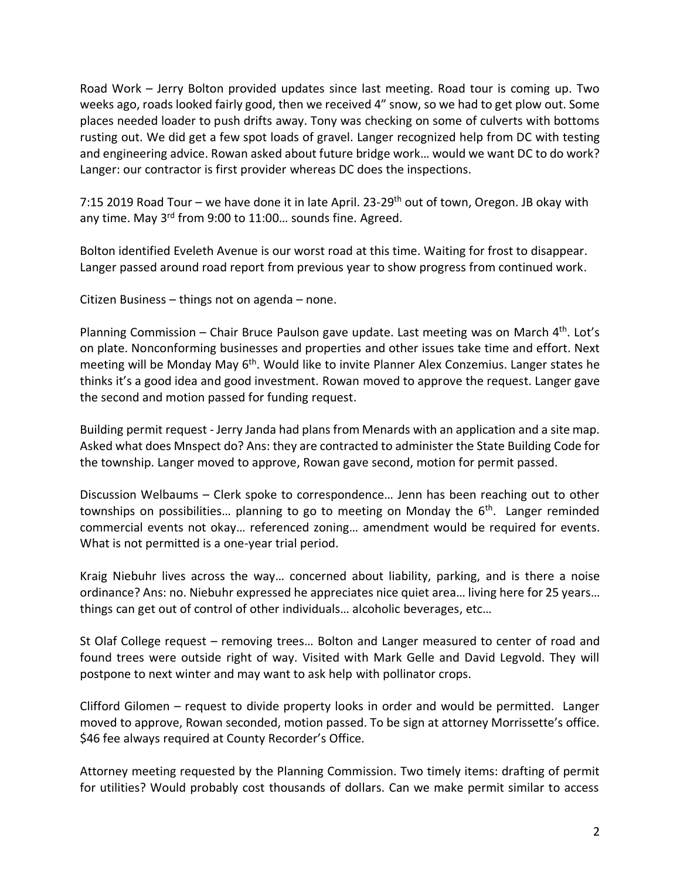Road Work – Jerry Bolton provided updates since last meeting. Road tour is coming up. Two weeks ago, roads looked fairly good, then we received 4" snow, so we had to get plow out. Some places needed loader to push drifts away. Tony was checking on some of culverts with bottoms rusting out. We did get a few spot loads of gravel. Langer recognized help from DC with testing and engineering advice. Rowan asked about future bridge work… would we want DC to do work? Langer: our contractor is first provider whereas DC does the inspections.

7:15 2019 Road Tour – we have done it in late April. 23-29<sup>th</sup> out of town, Oregon. JB okay with any time. May 3<sup>rd</sup> from 9:00 to 11:00... sounds fine. Agreed.

Bolton identified Eveleth Avenue is our worst road at this time. Waiting for frost to disappear. Langer passed around road report from previous year to show progress from continued work.

Citizen Business – things not on agenda – none.

Planning Commission - Chair Bruce Paulson gave update. Last meeting was on March 4<sup>th</sup>. Lot's on plate. Nonconforming businesses and properties and other issues take time and effort. Next meeting will be Monday May 6<sup>th</sup>. Would like to invite Planner Alex Conzemius. Langer states he thinks it's a good idea and good investment. Rowan moved to approve the request. Langer gave the second and motion passed for funding request.

Building permit request - Jerry Janda had plans from Menards with an application and a site map. Asked what does Mnspect do? Ans: they are contracted to administer the State Building Code for the township. Langer moved to approve, Rowan gave second, motion for permit passed.

Discussion Welbaums – Clerk spoke to correspondence… Jenn has been reaching out to other townships on possibilities... planning to go to meeting on Monday the 6<sup>th</sup>. Langer reminded commercial events not okay… referenced zoning… amendment would be required for events. What is not permitted is a one-year trial period.

Kraig Niebuhr lives across the way… concerned about liability, parking, and is there a noise ordinance? Ans: no. Niebuhr expressed he appreciates nice quiet area… living here for 25 years… things can get out of control of other individuals… alcoholic beverages, etc…

St Olaf College request – removing trees… Bolton and Langer measured to center of road and found trees were outside right of way. Visited with Mark Gelle and David Legvold. They will postpone to next winter and may want to ask help with pollinator crops.

Clifford Gilomen – request to divide property looks in order and would be permitted. Langer moved to approve, Rowan seconded, motion passed. To be sign at attorney Morrissette's office. \$46 fee always required at County Recorder's Office.

Attorney meeting requested by the Planning Commission. Two timely items: drafting of permit for utilities? Would probably cost thousands of dollars. Can we make permit similar to access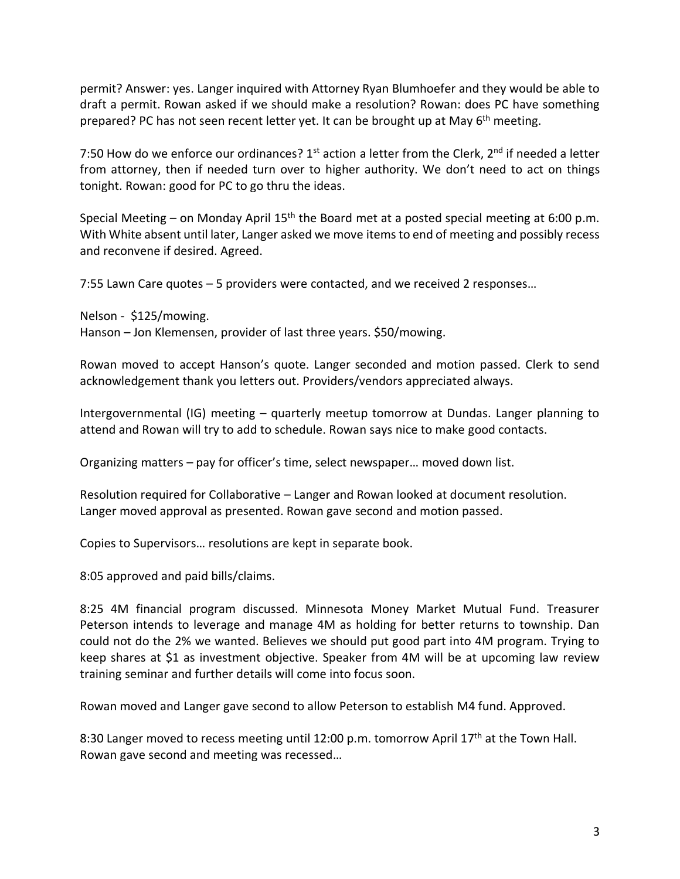permit? Answer: yes. Langer inquired with Attorney Ryan Blumhoefer and they would be able to draft a permit. Rowan asked if we should make a resolution? Rowan: does PC have something prepared? PC has not seen recent letter yet. It can be brought up at May 6<sup>th</sup> meeting.

7:50 How do we enforce our ordinances?  $1<sup>st</sup>$  action a letter from the Clerk,  $2<sup>nd</sup>$  if needed a letter from attorney, then if needed turn over to higher authority. We don't need to act on things tonight. Rowan: good for PC to go thru the ideas.

Special Meeting – on Monday April 15<sup>th</sup> the Board met at a posted special meeting at 6:00 p.m. With White absent until later, Langer asked we move items to end of meeting and possibly recess and reconvene if desired. Agreed.

7:55 Lawn Care quotes – 5 providers were contacted, and we received 2 responses…

Nelson - \$125/mowing. Hanson – Jon Klemensen, provider of last three years. \$50/mowing.

Rowan moved to accept Hanson's quote. Langer seconded and motion passed. Clerk to send acknowledgement thank you letters out. Providers/vendors appreciated always.

Intergovernmental (IG) meeting – quarterly meetup tomorrow at Dundas. Langer planning to attend and Rowan will try to add to schedule. Rowan says nice to make good contacts.

Organizing matters – pay for officer's time, select newspaper… moved down list.

Resolution required for Collaborative – Langer and Rowan looked at document resolution. Langer moved approval as presented. Rowan gave second and motion passed.

Copies to Supervisors… resolutions are kept in separate book.

8:05 approved and paid bills/claims.

8:25 4M financial program discussed. Minnesota Money Market Mutual Fund. Treasurer Peterson intends to leverage and manage 4M as holding for better returns to township. Dan could not do the 2% we wanted. Believes we should put good part into 4M program. Trying to keep shares at \$1 as investment objective. Speaker from 4M will be at upcoming law review training seminar and further details will come into focus soon.

Rowan moved and Langer gave second to allow Peterson to establish M4 fund. Approved.

8:30 Langer moved to recess meeting until 12:00 p.m. tomorrow April 17<sup>th</sup> at the Town Hall. Rowan gave second and meeting was recessed…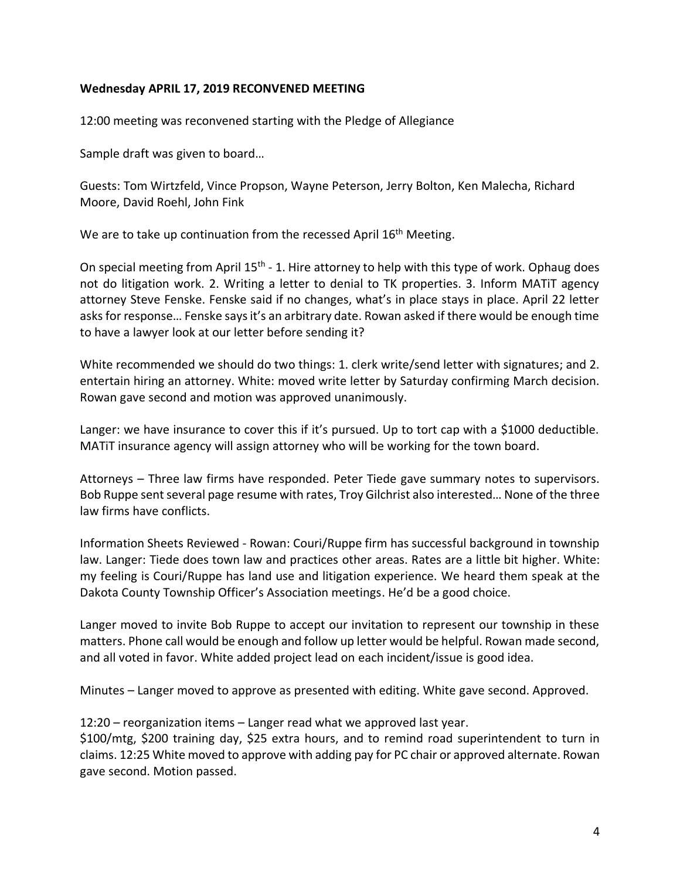## **Wednesday APRIL 17, 2019 RECONVENED MEETING**

12:00 meeting was reconvened starting with the Pledge of Allegiance

Sample draft was given to board…

Guests: Tom Wirtzfeld, Vince Propson, Wayne Peterson, Jerry Bolton, Ken Malecha, Richard Moore, David Roehl, John Fink

We are to take up continuation from the recessed April 16<sup>th</sup> Meeting.

On special meeting from April 15<sup>th</sup> - 1. Hire attorney to help with this type of work. Ophaug does not do litigation work. 2. Writing a letter to denial to TK properties. 3. Inform MATiT agency attorney Steve Fenske. Fenske said if no changes, what's in place stays in place. April 22 letter asks for response… Fenske says it's an arbitrary date. Rowan asked if there would be enough time to have a lawyer look at our letter before sending it?

White recommended we should do two things: 1. clerk write/send letter with signatures; and 2. entertain hiring an attorney. White: moved write letter by Saturday confirming March decision. Rowan gave second and motion was approved unanimously.

Langer: we have insurance to cover this if it's pursued. Up to tort cap with a \$1000 deductible. MATiT insurance agency will assign attorney who will be working for the town board.

Attorneys – Three law firms have responded. Peter Tiede gave summary notes to supervisors. Bob Ruppe sent several page resume with rates, Troy Gilchrist also interested… None of the three law firms have conflicts.

Information Sheets Reviewed - Rowan: Couri/Ruppe firm has successful background in township law. Langer: Tiede does town law and practices other areas. Rates are a little bit higher. White: my feeling is Couri/Ruppe has land use and litigation experience. We heard them speak at the Dakota County Township Officer's Association meetings. He'd be a good choice.

Langer moved to invite Bob Ruppe to accept our invitation to represent our township in these matters. Phone call would be enough and follow up letter would be helpful. Rowan made second, and all voted in favor. White added project lead on each incident/issue is good idea.

Minutes – Langer moved to approve as presented with editing. White gave second. Approved.

12:20 – reorganization items – Langer read what we approved last year.

\$100/mtg, \$200 training day, \$25 extra hours, and to remind road superintendent to turn in claims. 12:25 White moved to approve with adding pay for PC chair or approved alternate. Rowan gave second. Motion passed.